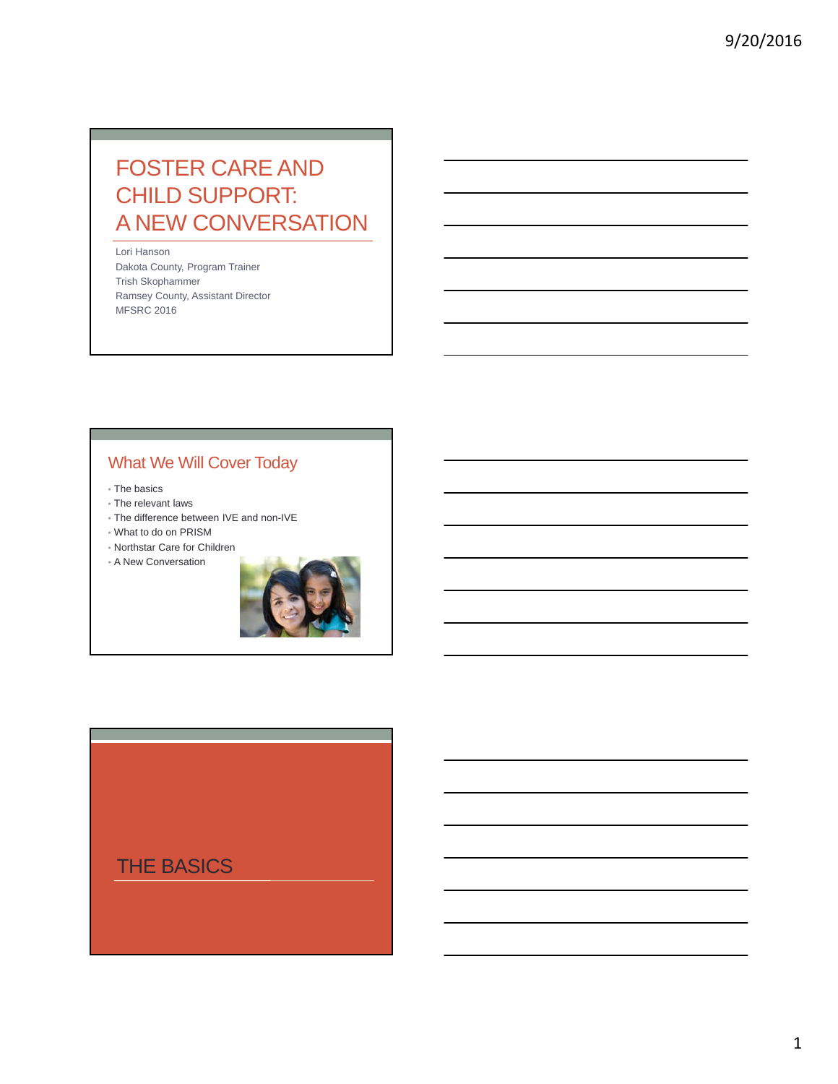# FOSTER CARE AND CHILD SUPPORT: A NEW CONVERSATION

Lori Hanson Dakota County, Program Trainer Trish Skophammer Ramsey County, Assistant Director MFSRC 2016

## What We Will Cover Today

- The basics
- The relevant laws
- The difference between IVE and non-IVE
- What to do on PRISM
- Northstar Care for Children
- A New Conversation



THE BASICS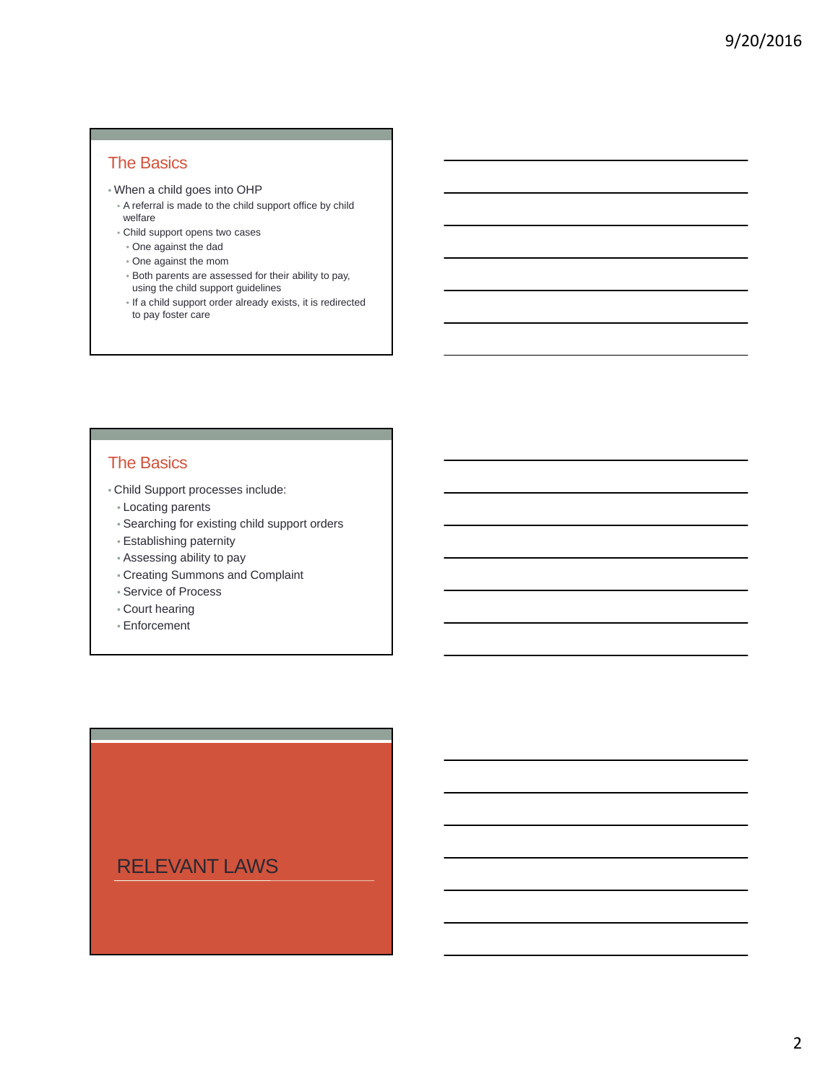### The Basics

- When a child goes into OHP
- A referral is made to the child support office by child welfare
- Child support opens two cases
	- One against the dad
- One against the mom
- Both parents are assessed for their ability to pay, using the child support guidelines
- If a child support order already exists, it is redirected to pay foster care

### The Basics

- Child Support processes include:
	- Locating parents
	- Searching for existing child support orders
	- Establishing paternity
	- Assessing ability to pay
	- Creating Summons and Complaint
	- Service of Process
	- Court hearing
	- Enforcement

## RELEVANT LAWS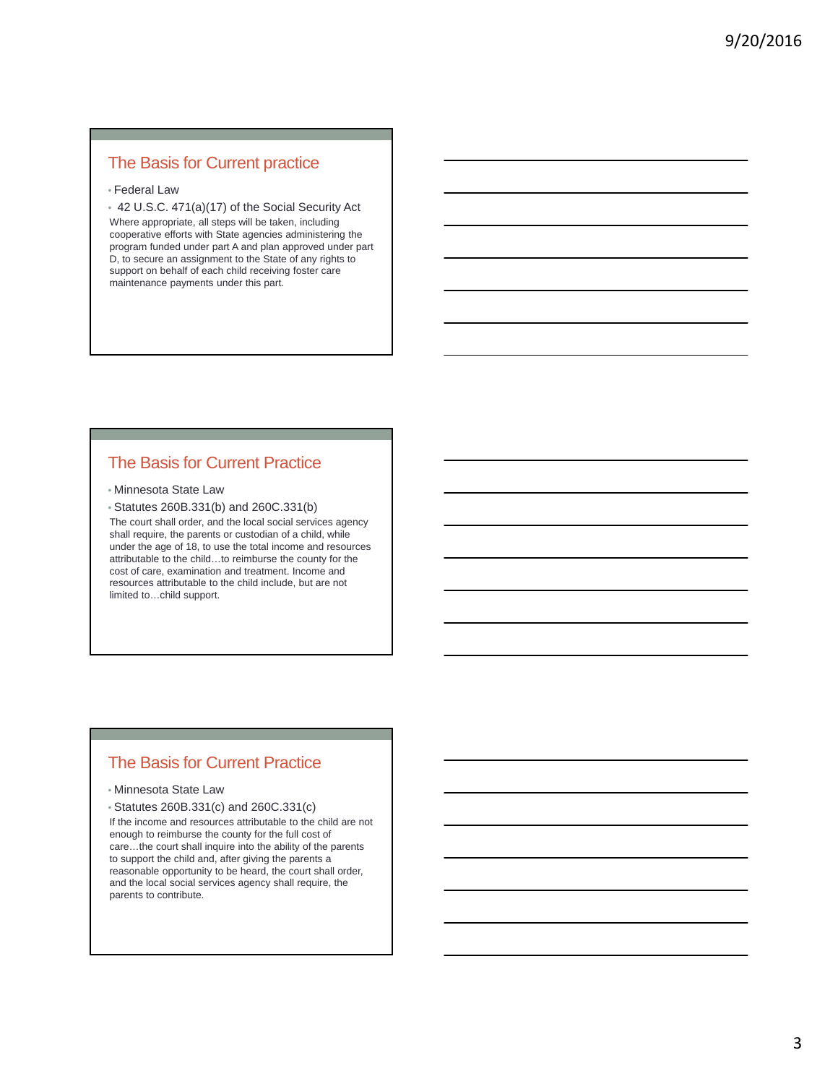### The Basis for Current practice

#### • Federal Law

• 42 U.S.C. 471(a)(17) of the Social Security Act Where appropriate, all steps will be taken, including cooperative efforts with State agencies administering the program funded under part A and plan approved under part D, to secure an assignment to the State of any rights to support on behalf of each child receiving foster care maintenance payments under this part.

### The Basis for Current Practice

#### • Minnesota State Law

• Statutes 260B.331(b) and 260C.331(b)

The court shall order, and the local social services agency shall require, the parents or custodian of a child, while under the age of 18, to use the total income and resources attributable to the child…to reimburse the county for the cost of care, examination and treatment. Income and resources attributable to the child include, but are not limited to…child support.

### The Basis for Current Practice

#### • Minnesota State Law

• Statutes 260B.331(c) and 260C.331(c)

If the income and resources attributable to the child are not enough to reimburse the county for the full cost of care…the court shall inquire into the ability of the parents to support the child and, after giving the parents a reasonable opportunity to be heard, the court shall order, and the local social services agency shall require, the parents to contribute.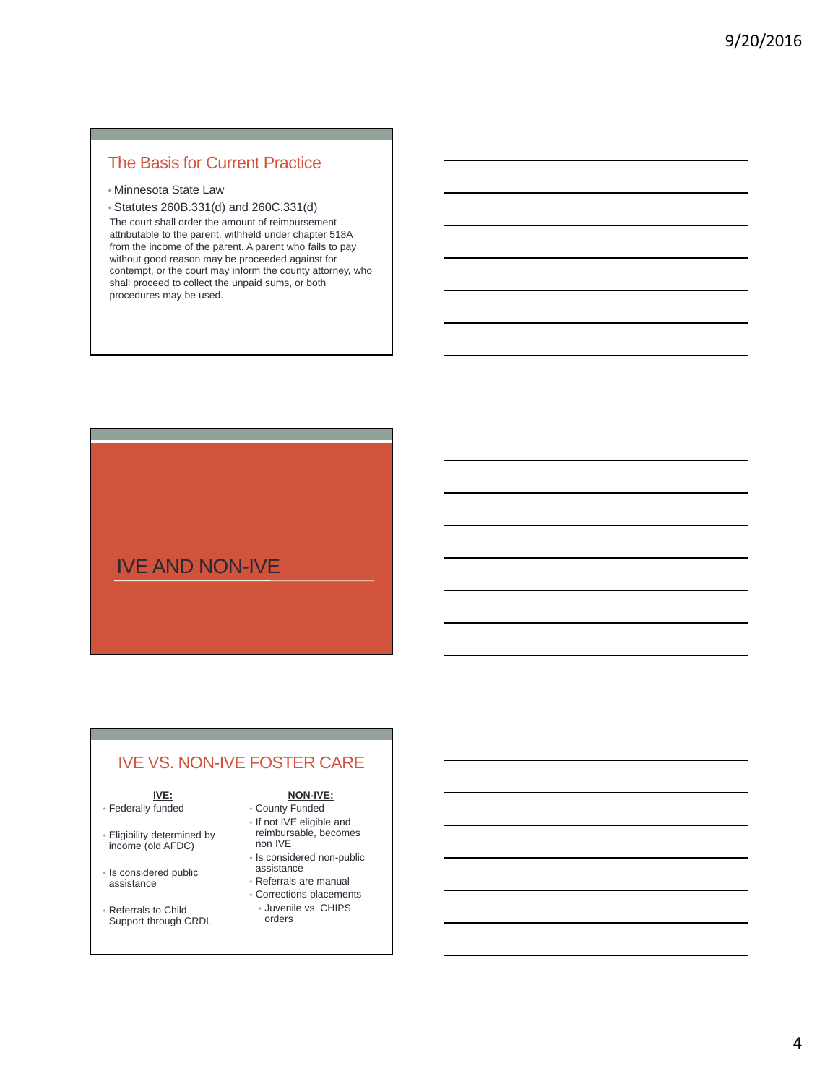### The Basis for Current Practice

- Minnesota State Law
- Statutes 260B.331(d) and 260C.331(d)

The court shall order the amount of reimbursement attributable to the parent, withheld under chapter 518A from the income of the parent. A parent who fails to pay without good reason may be proceeded against for contempt, or the court may inform the county attorney, who shall proceed to collect the unpaid sums, or both procedures may be used.

## IVE AND NON-IVE

### IVE VS. NON-IVE FOSTER CARE

### **IVE:**

- Federally funded
- Eligibility determined by income (old AFDC)
- Is considered public assistance
- Referrals to Child Support through CRDL
- **NON-IVE:**
- County Funded • If not IVE eligible and reimbursable, becomes non IVE
- Is considered non-public
- assistance
- Referrals are manual • Corrections placements
- Juvenile vs. CHIPS orders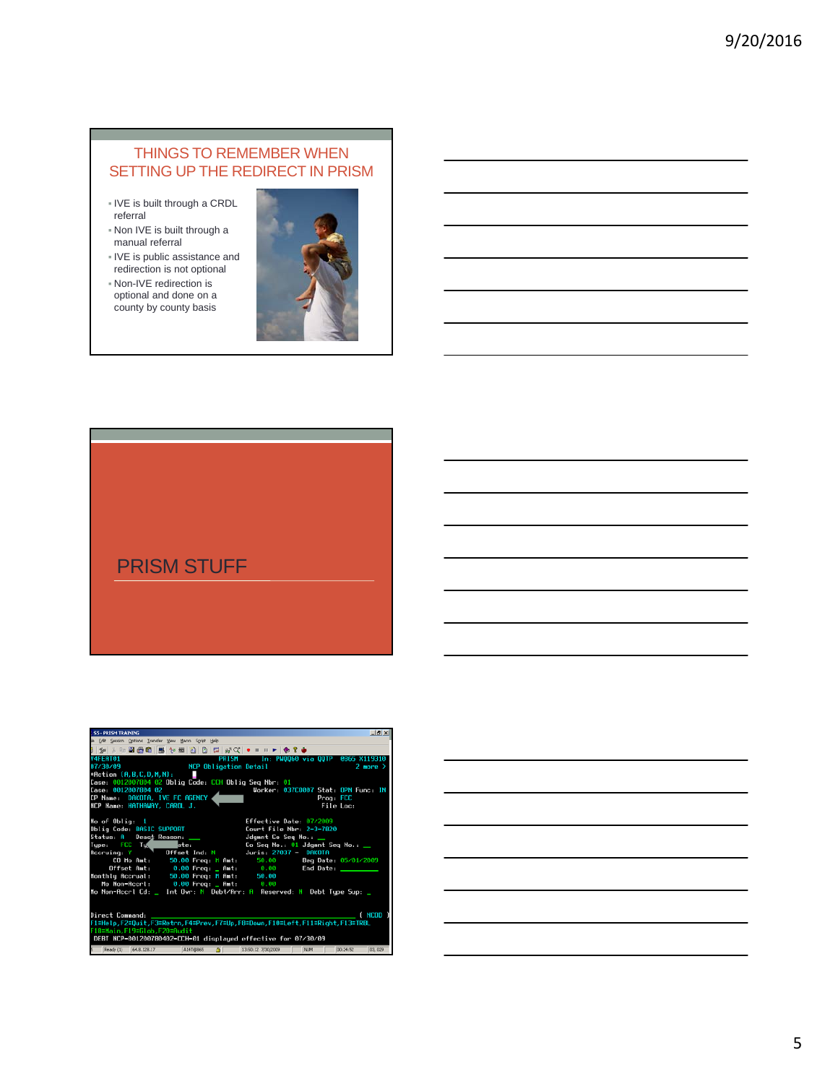#### THINGS TO REMEMBER WHEN SETTING UP THE REDIRECT IN PRISM

- **IVE** is built through a CRDL referral
- Non IVE is built through a manual referral
- IVE is public assistance and redirection is not optional
- Non-IVE redirection is optional and done on a county by county basis



## PRISM STUFF

| <b>S5 - PRISM TRAINING</b><br>$-10x$                                                                        |
|-------------------------------------------------------------------------------------------------------------|
| le Edit Session Options Transfer View Macro Script Help                                                     |
|                                                                                                             |
| <b>V4FERT01</b><br>PRISM In: PW0060 via OOTP 0065 X119310                                                   |
| 07/30/09 NCP Obligation Detail<br>$2$ more $\rightarrow$                                                    |
| *Action $(A, B, C, D, M, N)$ :                                                                              |
| Case: 0012007804 02 Oblig Code: CCH Oblig Seg Nbr: 01                                                       |
| Case: 0012007804 02<br>Worker: 037CO007 Stat: OPN Func: IN                                                  |
| CP Name: DAKOTA, IVE FC AGENCY<br>Prog: FCC                                                                 |
| NCP Name: HATHAWAY, CAROL J.<br>File Loc:                                                                   |
|                                                                                                             |
| No of Oblig: 1<br>Effective Date: 07/2009                                                                   |
| Oblig Code: BASIC SUPPORT<br>Court File Nbr: 2-3-7820                                                       |
|                                                                                                             |
| Type: FCC Tux pler:<br>Accruing: Y Offset Ind: N Juris: 27037 - DAKOTA<br>Co Seq No.: 01 Jdgmnt Seq No.: __ |
|                                                                                                             |
| CO Mo Amt: 50.00 Freq: M Amt: 50.00 Beg Date: 05/01/2009                                                    |
| Offset Amt: 0.00 Freq: 0.00 = End Date: ________                                                            |
| Monthly Accrual: 50.00 Freq: M Amt: 50.00                                                                   |
| Mo Non-Accrl: 0.00 Freq: _ Amt: 0.00                                                                        |
| Mo Non-Accrl Cd: _ Int Ovr: N Debt/Arr: A Reserved: N Debt Type Sup: _                                      |
|                                                                                                             |
|                                                                                                             |
| ( NCOD<br>Direct Command:                                                                                   |
| 1=Help,F2=Quit,F3=Retrn,F4=Prev,F7=Up,F8=Down,F10=Left,F11=Right,F13=TRBL                                   |
| -18=Main,F19=Glob,F20=Audit                                                                                 |
| DEBT NCP-001200780402-CCH-01 displayed effective for 07/30/09                                               |
| A147@665 A<br>Ready (1) 64.8.128.17<br>N.M<br>13:50:12 7/30/2009<br>00:24:52<br>03, 029                     |

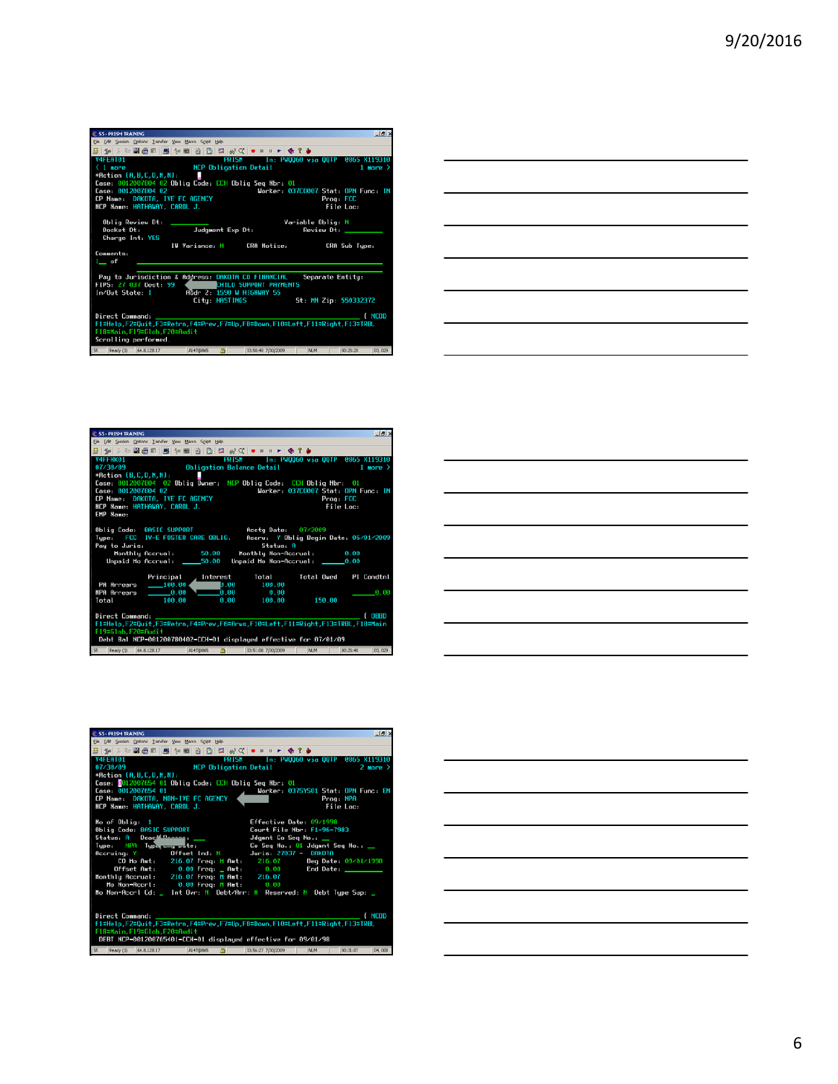| Elle Edit Session Options Transfer View Macro Script Help                                                                                              |                                     |                                   |
|--------------------------------------------------------------------------------------------------------------------------------------------------------|-------------------------------------|-----------------------------------|
|                                                                                                                                                        |                                     |                                   |
|                                                                                                                                                        |                                     |                                   |
| V4FEAT01<br><b>PRISH</b>                                                                                                                               |                                     | ln: PW0060 via OOTP -0865 X119310 |
| <b>NCP Obligation Detail</b><br>$< 1$ more                                                                                                             |                                     | $1$ more $\geq$                   |
| *Action (A,B,C,D,M,N):<br>п                                                                                                                            |                                     |                                   |
| Case: 0012007804 02 Oblig Code: CCH Oblig Seq Nbr: 01                                                                                                  |                                     |                                   |
| Case: 0012007804 02                                                                                                                                    | Worker: 03700007 Stat: OPN Eunc: IN |                                   |
| CP Name: DAKOTA, IVE FC AGENCY                                                                                                                         | Prog: FCC                           |                                   |
| NCP Name: HATHAWAY, CAROL J.                                                                                                                           |                                     | File Loc:                         |
| Oblig Review Dt:<br>Docket Dt:<br>Judgment Exp Dt:<br>Charge Int: YES                                                                                  | Variable Oblig N<br>Review Dt:      |                                   |
| IW Variance: N<br>CRA Notice:                                                                                                                          |                                     | CRA Sub Tupe:                     |
| Comments:<br>1_ of                                                                                                                                     |                                     |                                   |
| Pay to Jurisdiction & Address: DAKOTA CO FINANCIAL<br>FIPS 27 037 Dest: 99<br>CHILD SUPPORT PAYMENTS<br>Addr 2: 1590 W HIGHWAY 55<br>In/Out State: I   | Separate Entity:                    |                                   |
| City: HASTINGS                                                                                                                                         | St: MN Zip: 550332372               |                                   |
| Direct Command:<br>Fi=Help,F2=Quit,F3=Retrn,F4=Prev,F7=Up,F8=Down,F10=Left,F11=Right,F13=TRBL<br>F18=Main, F19=Glob, F20=Audit<br>Scrolling performed. |                                     | ( NCOD                            |
| ΔĪ<br>Ready (1)<br>64.8.128.17<br>13:50:48 7/30/2009<br>A14T/DRAS                                                                                      | N.M                                 | 00:25:28<br>03, 029               |



| <b>C.SS-PRISM TRAINING</b>                                                                                                                                                                                                                 |                                       | $-101$                 |  |  |
|--------------------------------------------------------------------------------------------------------------------------------------------------------------------------------------------------------------------------------------------|---------------------------------------|------------------------|--|--|
| Elle Edit Session Options Transfer View Macro Script Help                                                                                                                                                                                  |                                       |                        |  |  |
|                                                                                                                                                                                                                                            |                                       |                        |  |  |
| V4FFHK01<br>PRISM In: PW0060 via OOTP                                                                                                                                                                                                      | <b>0865 X119310</b>                   |                        |  |  |
| <b>Obligation Balance Detail</b><br>07/30/09                                                                                                                                                                                               |                                       | $1$ more $\rightarrow$ |  |  |
| *Action (B,C,D,M,N):                                                                                                                                                                                                                       |                                       |                        |  |  |
| Case: 0012007804 02 Oblig Owner: NCP Oblig Code: CCH Oblig Nbr: 01                                                                                                                                                                         |                                       |                        |  |  |
| Case: 0012007804 02                                                                                                                                                                                                                        | Worker: 037C0007 Stat: OPN Lunc: IN   |                        |  |  |
| CP Name: DAKOTA, IVE FC AGENCY                                                                                                                                                                                                             | Prog: FCC                             |                        |  |  |
| NCP Name: HATHAWAY, CAROL J.                                                                                                                                                                                                               | File Loc:                             |                        |  |  |
| EMP Name:                                                                                                                                                                                                                                  |                                       |                        |  |  |
| Oblig Code: BASIC SUPPORT<br>Accto Date: 07/2009<br>Type: FCC IV-E FOSTER CARE OBLIG.<br>Status: A<br>Pau to Juris:<br>Monthly Accrual: 50.00 Monthly Non-Accrual: 0.00<br>Unpaid Mo Accrual: _____50.00 Unpaid Mo Non-Accrual: ______0.00 | Accru: Y Oblig Begin Date: 05/01/2009 |                        |  |  |
| Principal Interest Total                                                                                                                                                                                                                   | Total Owed PI Condtnl                 |                        |  |  |
| PA Arrears ______100.00<br>$0.00$ 100.00                                                                                                                                                                                                   |                                       |                        |  |  |
| $\sqrt{100}$ 0.00 0.00<br>$-0.00$<br>NPA Arrears                                                                                                                                                                                           |                                       | 0.00                   |  |  |
| Total 100.00<br>8.88 188.88                                                                                                                                                                                                                | 150.00                                |                        |  |  |
| f onno<br>Direct Command:<br>F1=Help,F2=Quit,F3=Retrn,F4=Prev,F6=Arus,F10=Left,F11=Right,F13=TRBL,F18=Main<br>F19=Glob, F20=Audit<br>Debt Bal NCP-001200780402-CCH-01 displayed effective for 07/01/09                                     |                                       |                        |  |  |
| $\Delta$<br>Ready (1) 64.8.128.17<br>$\overline{\mathbf{S}}$<br>A14T@865<br>13:51:08 7/30/2009                                                                                                                                             | N.M<br>00:25:48                       | 03, 029                |  |  |

| <b>C.SS - PRISM TRAINING</b><br>$-101\times$                                                      |
|---------------------------------------------------------------------------------------------------|
| Elle Edit Session Options Transfer View Macro Script Help                                         |
|                                                                                                   |
| PRISM In: PW0060 via OOTP 0065 X119310<br>V4FEAT01                                                |
| <b>NCP Obligation Detail</b><br>87/38/89<br>$2$ more $\geq$                                       |
| *Action (A,B,C,D,M,N):                                                                            |
| Case: 0012007654 01 Oblig Code: CCH Oblig Seg Nbr 01                                              |
| Case: 0012007654 01<br>Worker: 0375Y501 Stat: OPN Func: EN                                        |
| CP Name: DAKOTA, NON-IVE FC AGENCY<br>Prog: NPA                                                   |
| NCP Name: HATHAWAY, CAROL J.<br>File Loc:                                                         |
|                                                                                                   |
| Effective Date 09/1998<br>No of $0$ blig: $1$                                                     |
| Oblig Code: BASIC SUPPORT<br>Court File Nbr: F1-96-7983                                           |
| Status: A Deac <sup>14 Danoon</sup> : ___<br>Jdgmnt Co Seg No.: __                                |
| Type: NPA Typ <del>e any wa</del> te:                     Co Seq No.: 01 Jdgmnt Seq No.: <u> </u> |
|                                                                                                   |
| CO Mo Amt: 216.07 Freq: M Amt: 216.07 Beg Date: 09/01/1998                                        |
| Offset Amt: 0.00 Freq: Amt: 0.00 End Date: _____<br>Monthly Accrual: 216.07 Freq: M Amt: 216.07   |
| Mo Non-Accrl: 0.00 Freq: M Amt: 0.00                                                              |
| Mo Non-Accrl Cd: _ Int Ovr: N Debt/Arr: A Reserved: N Debt Type Sup: _                            |
|                                                                                                   |
|                                                                                                   |
| ( NCOD<br>Direct Command: _____                                                                   |
| Fi=Help, F2=Quit, F3=Retrn, F4=Prev, F7=Up, F8=Down, F10=Left, F11=Right, F13=TRBL                |
| F18=Main, F19=Glob, F20=Audit                                                                     |
| DEBT NCP-001200765401-CCH-01 displayed effective for 09/01/98                                     |
| Ready (1) 64.8.128.17<br>கி<br>A14T@865<br>13:56:27 7/30/2009<br>M.M<br>00:31:07<br>04,008        |
|                                                                                                   |

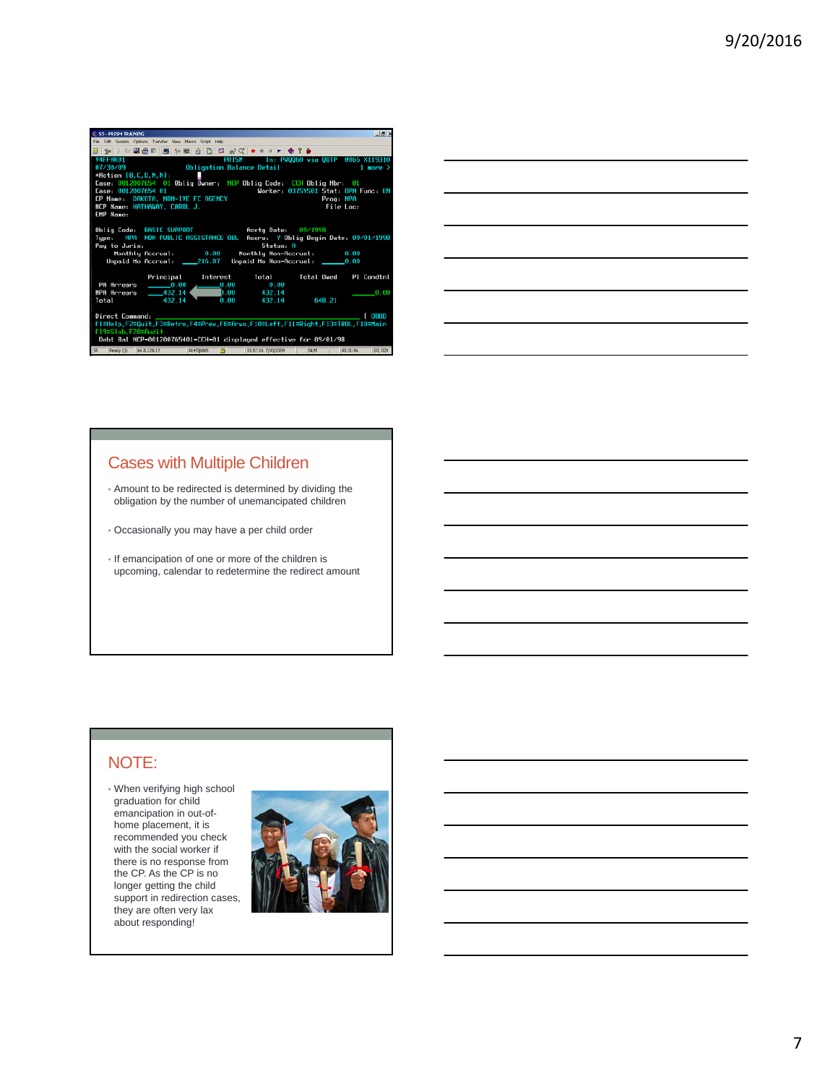

| <u> 1989 - Andrea Andrew Maria (h. 1989).</u>                                                                                                                                                                                                 |  |                          |
|-----------------------------------------------------------------------------------------------------------------------------------------------------------------------------------------------------------------------------------------------|--|--------------------------|
|                                                                                                                                                                                                                                               |  |                          |
| <u> 1989 - Johann Harry Harry Harry Harry Harry Harry Harry Harry Harry Harry Harry Harry Harry Harry Harry Harry</u><br><u> 1989 - Johann Barn, amerikan bernama di sebagai bernama dan bernama di sebagai bernama dalam bernama dalam b</u> |  |                          |
| <u> 1989 - Andrea Andrew Maria (h. 1989).</u>                                                                                                                                                                                                 |  |                          |
| <u> 1989 - Johann Stoff, Amerikaansk politiker († 1908)</u>                                                                                                                                                                                   |  |                          |
|                                                                                                                                                                                                                                               |  | $\overline{\phantom{a}}$ |
|                                                                                                                                                                                                                                               |  |                          |

### Cases with Multiple Children

- Amount to be redirected is determined by dividing the obligation by the number of unemancipated children
- Occasionally you may have a per child order
- If emancipation of one or more of the children is upcoming, calendar to redetermine the redirect amount

#### NOTE:

• When verifying high school graduation for child emancipation in out-ofhome placement, it is recommended you check with the social worker if there is no response from the CP. As the CP is no longer getting the child support in redirection cases, they are often very lax about responding!

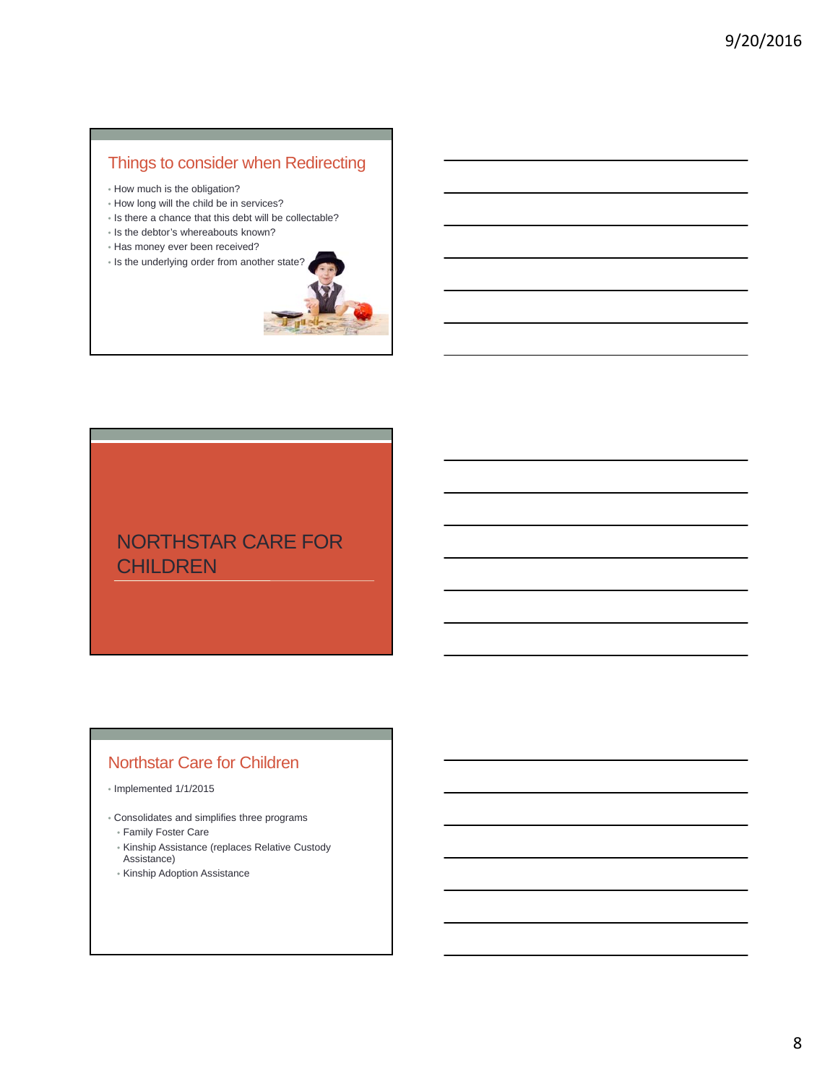## Things to consider when Redirecting

- How much is the obligation?
- How long will the child be in services?
- Is there a chance that this debt will be collectable?
- Is the debtor's whereabouts known?
- Has money ever been received?





## NORTHSTAR CARE FOR **CHILDREN**

## Northstar Care for Children

- Implemented 1/1/2015
- Consolidates and simplifies three programs • Family Foster Care
	- Kinship Assistance (replaces Relative Custody Assistance)
	- Kinship Adoption Assistance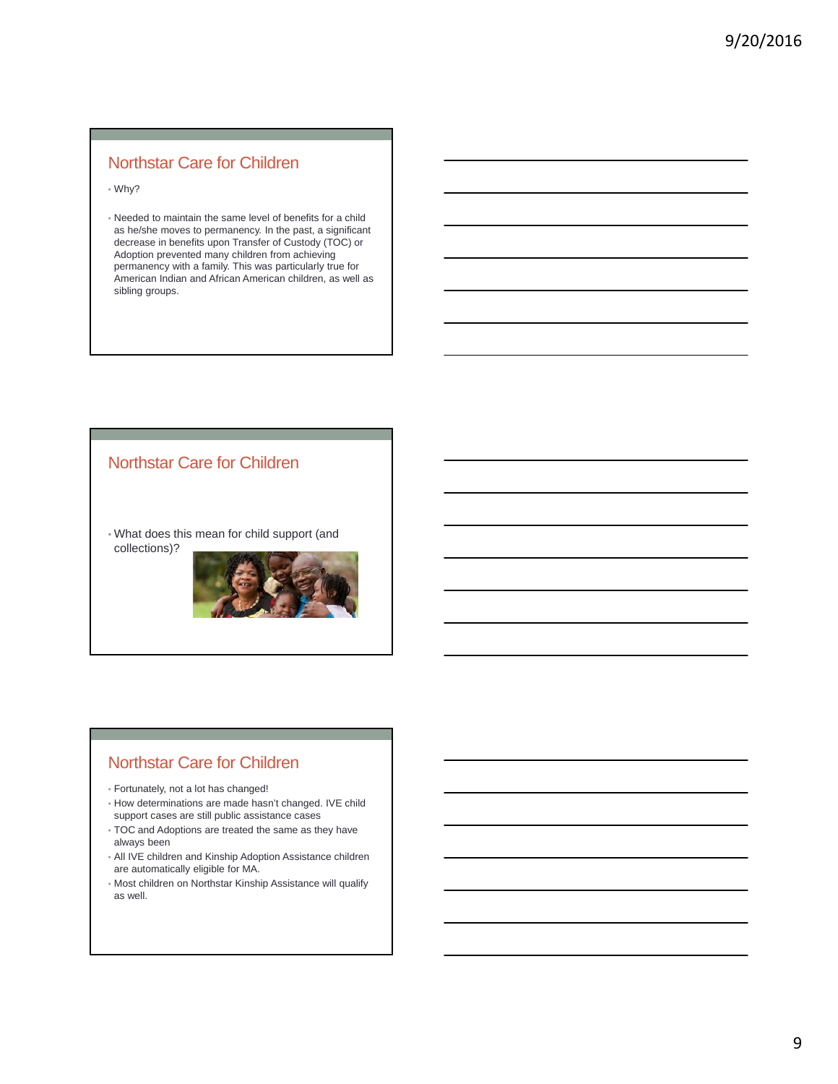### Northstar Care for Children

• Why?

• Needed to maintain the same level of benefits for a child as he/she moves to permanency. In the past, a significant decrease in benefits upon Transfer of Custody (TOC) or Adoption prevented many children from achieving permanency with a family. This was particularly true for American Indian and African American children, as well as sibling groups.

### Northstar Care for Children

• What does this mean for child support (and collections)?



### Northstar Care for Children

- Fortunately, not a lot has changed!
- How determinations are made hasn't changed. IVE child support cases are still public assistance cases
- TOC and Adoptions are treated the same as they have always been
- All IVE children and Kinship Adoption Assistance children are automatically eligible for MA.
- Most children on Northstar Kinship Assistance will qualify as well.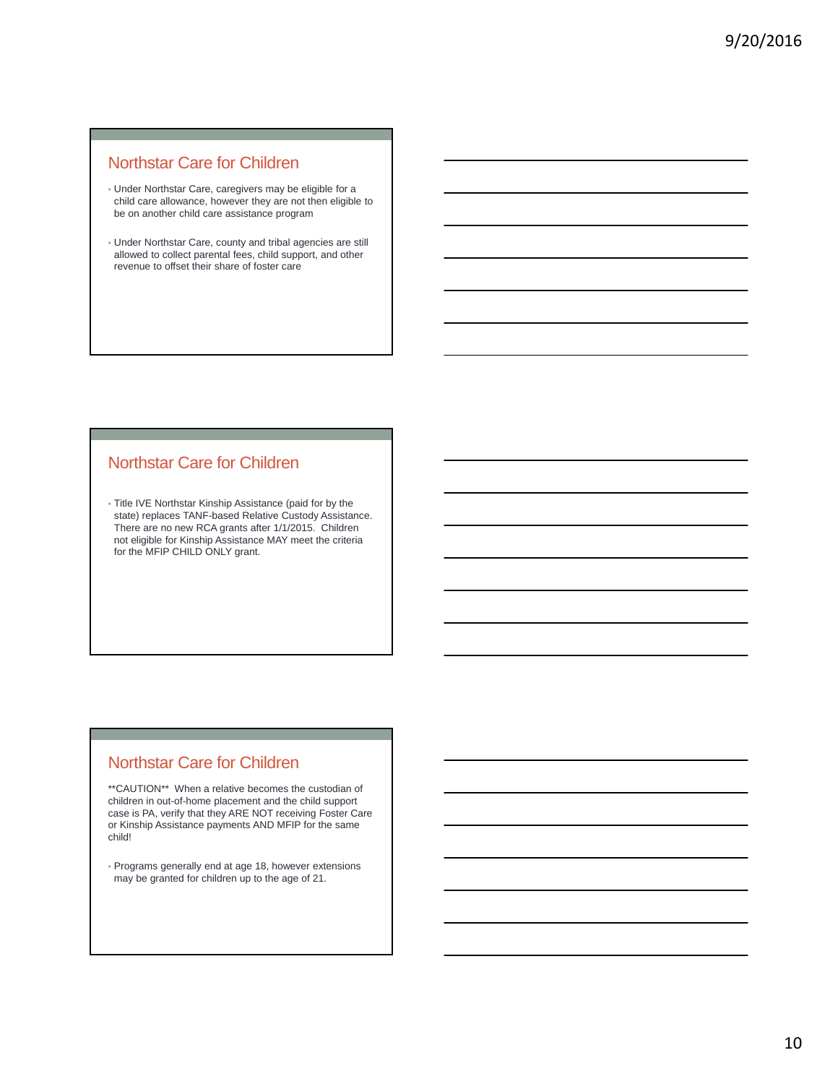### Northstar Care for Children

- Under Northstar Care, caregivers may be eligible for a child care allowance, however they are not then eligible to be on another child care assistance program
- Under Northstar Care, county and tribal agencies are still allowed to collect parental fees, child support, and other revenue to offset their share of foster care

### Northstar Care for Children

• Title IVE Northstar Kinship Assistance (paid for by the state) replaces TANF-based Relative Custody Assistance. There are no new RCA grants after 1/1/2015. Children not eligible for Kinship Assistance MAY meet the criteria for the MFIP CHILD ONLY grant.

### Northstar Care for Children

\*\*CAUTION\*\* When a relative becomes the custodian of children in out-of-home placement and the child support case is PA, verify that they ARE NOT receiving Foster Care or Kinship Assistance payments AND MFIP for the same child!

• Programs generally end at age 18, however extensions may be granted for children up to the age of 21.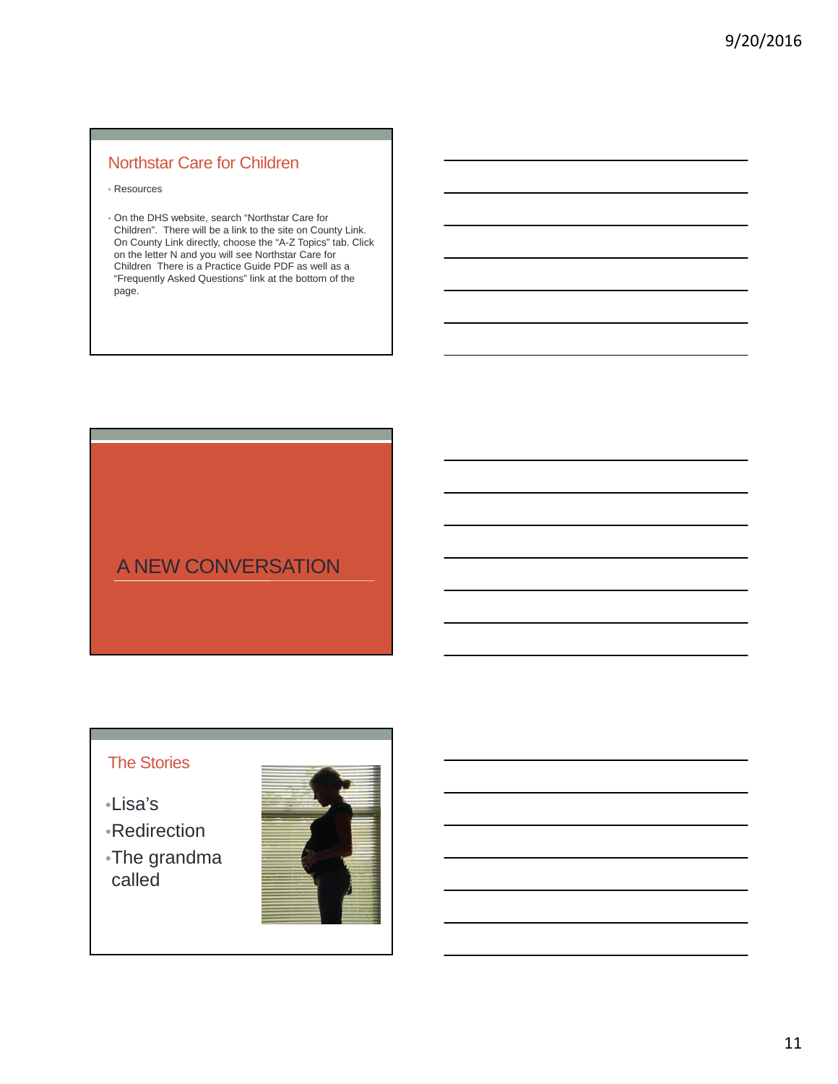## Northstar Care for Children

- Resources
- On the DHS website, search "Northstar Care for Children". There will be a link to the site on County Link. On County Link directly, choose the "A-Z Topics" tab. Click on the letter N and you will see Northstar Care for Children There is a Practice Guide PDF as well as a "Frequently Asked Questions" link at the bottom of the page.

## A NEW CONVERSATION

## The Stories

- •Lisa's
- •Redirection
- •The grandma called

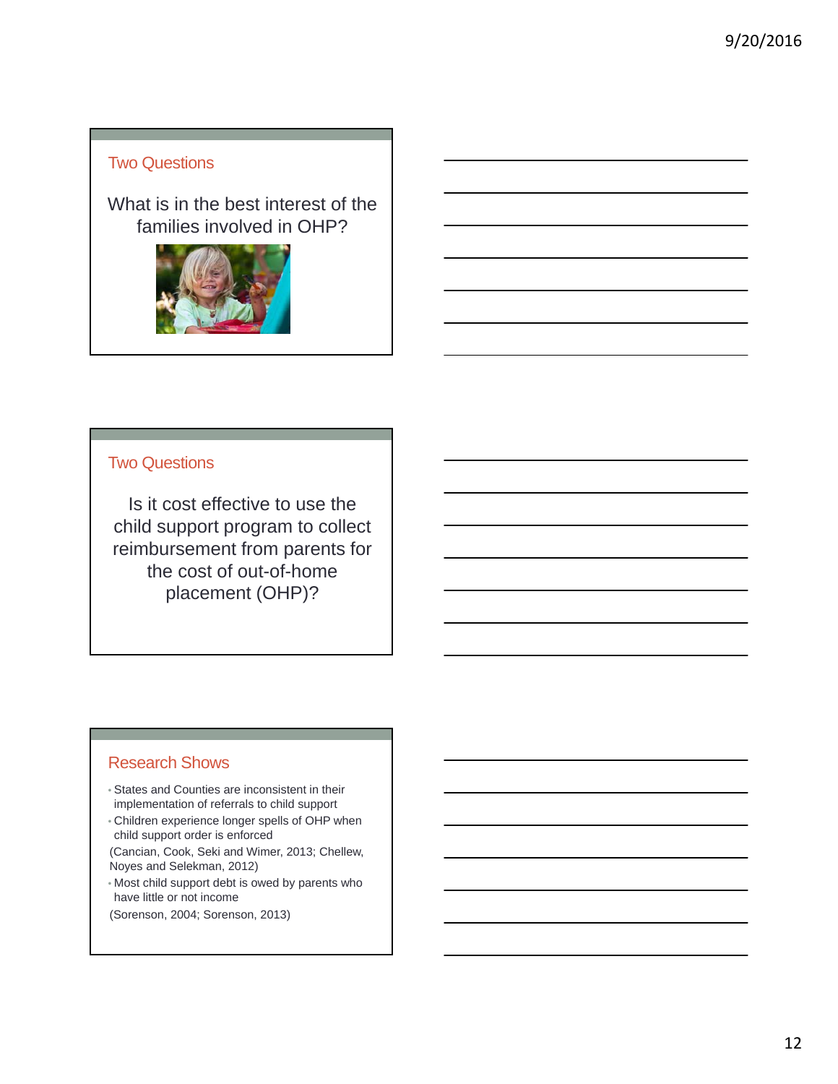### Two Questions

What is in the best interest of the families involved in OHP?



### Two Questions

Is it cost effective to use the child support program to collect reimbursement from parents for the cost of out-of-home placement (OHP)?

### Research Shows

- States and Counties are inconsistent in their implementation of referrals to child support
- Children experience longer spells of OHP when child support order is enforced
- (Cancian, Cook, Seki and Wimer, 2013; Chellew, Noyes and Selekman, 2012)
- Most child support debt is owed by parents who have little or not income
- (Sorenson, 2004; Sorenson, 2013)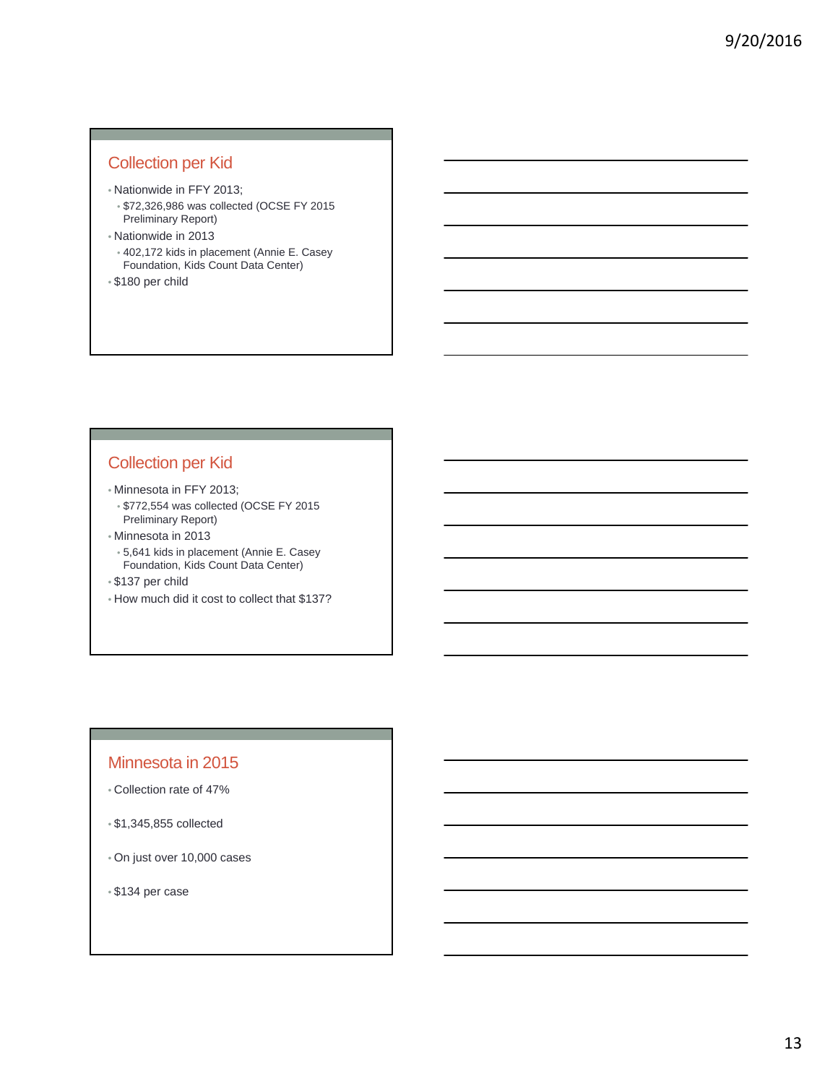### Collection per Kid

- Nationwide in FFY 2013;
- \$72,326,986 was collected (OCSE FY 2015 Preliminary Report)
- Nationwide in 2013
- 402,172 kids in placement (Annie E. Casey Foundation, Kids Count Data Center)
- \$180 per child

### Collection per Kid

- Minnesota in FFY 2013;
	- \$772,554 was collected (OCSE FY 2015 Preliminary Report)
- Minnesota in 2013
	- 5,641 kids in placement (Annie E. Casey Foundation, Kids Count Data Center)
- \$137 per child
- How much did it cost to collect that \$137?

### Minnesota in 2015

- Collection rate of 47%
- \$1,345,855 collected
- On just over 10,000 cases
- \$134 per case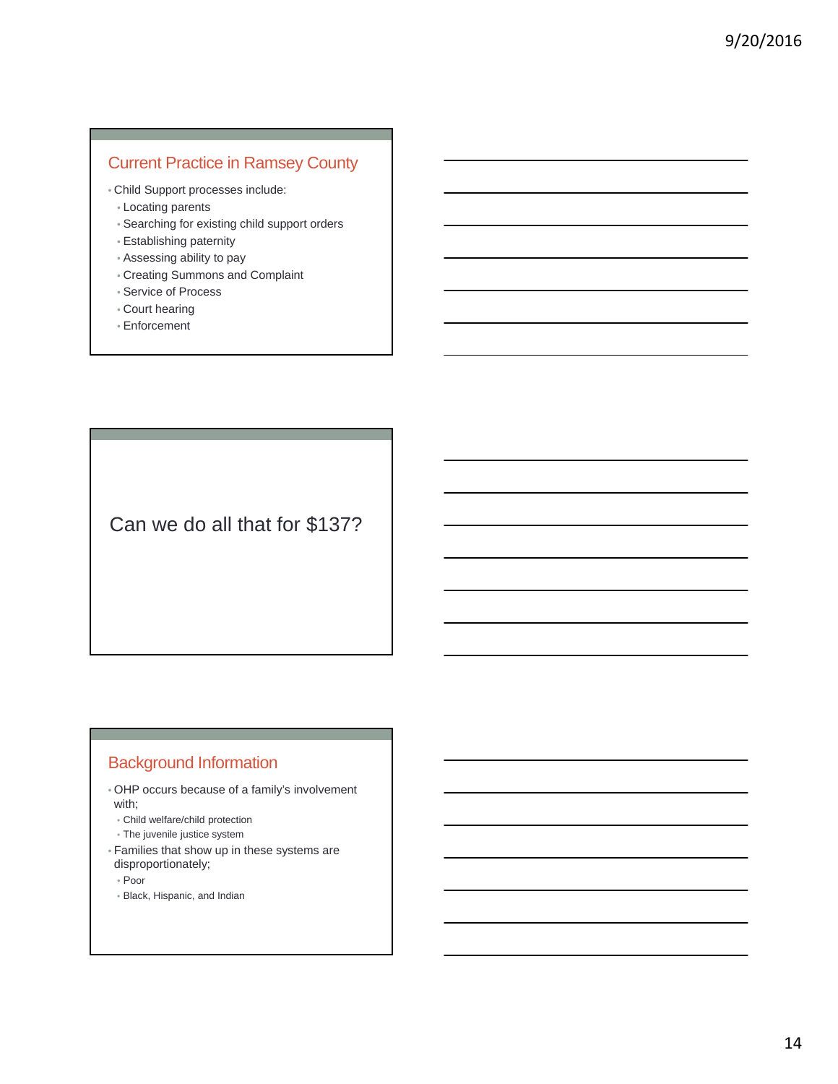## Current Practice in Ramsey County

• Child Support processes include:

- Locating parents
- Searching for existing child support orders
- Establishing paternity
- Assessing ability to pay
- Creating Summons and Complaint
- Service of Process
- Court hearing
- Enforcement

Can we do all that for \$137?

### Background Information

- OHP occurs because of a family's involvement with;
- Child welfare/child protection
- The juvenile justice system
- Families that show up in these systems are disproportionately;
	- Poor
	- Black, Hispanic, and Indian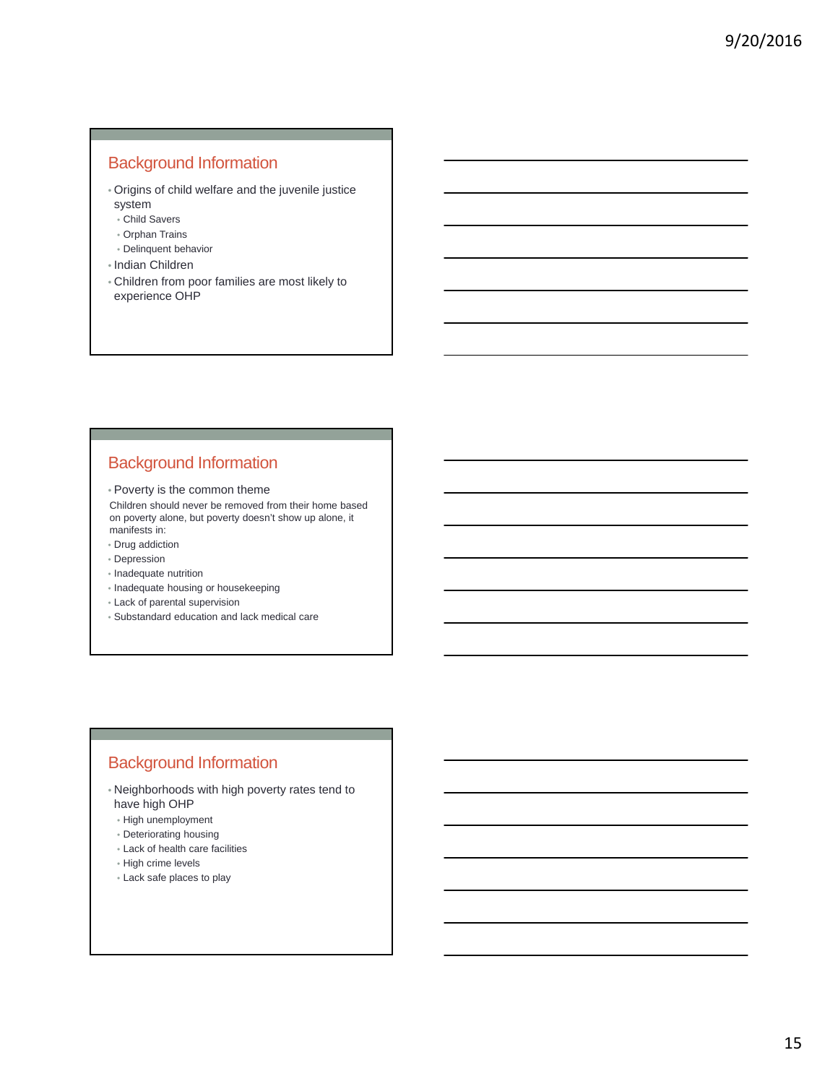### Background Information

- Origins of child welfare and the juvenile justice system
	- Child Savers
	- Orphan Trains
- Delinquent behavior
- Indian Children
- Children from poor families are most likely to experience OHP

### Background Information

• Poverty is the common theme

Children should never be removed from their home based on poverty alone, but poverty doesn't show up alone, it manifests in:

- Drug addiction
- Depression
- Inadequate nutrition
- Inadequate housing or housekeeping
- Lack of parental supervision
- Substandard education and lack medical care

### Background Information

- Neighborhoods with high poverty rates tend to have high OHP
- High unemployment
- Deteriorating housing
- Lack of health care facilities
- High crime levels
- Lack safe places to play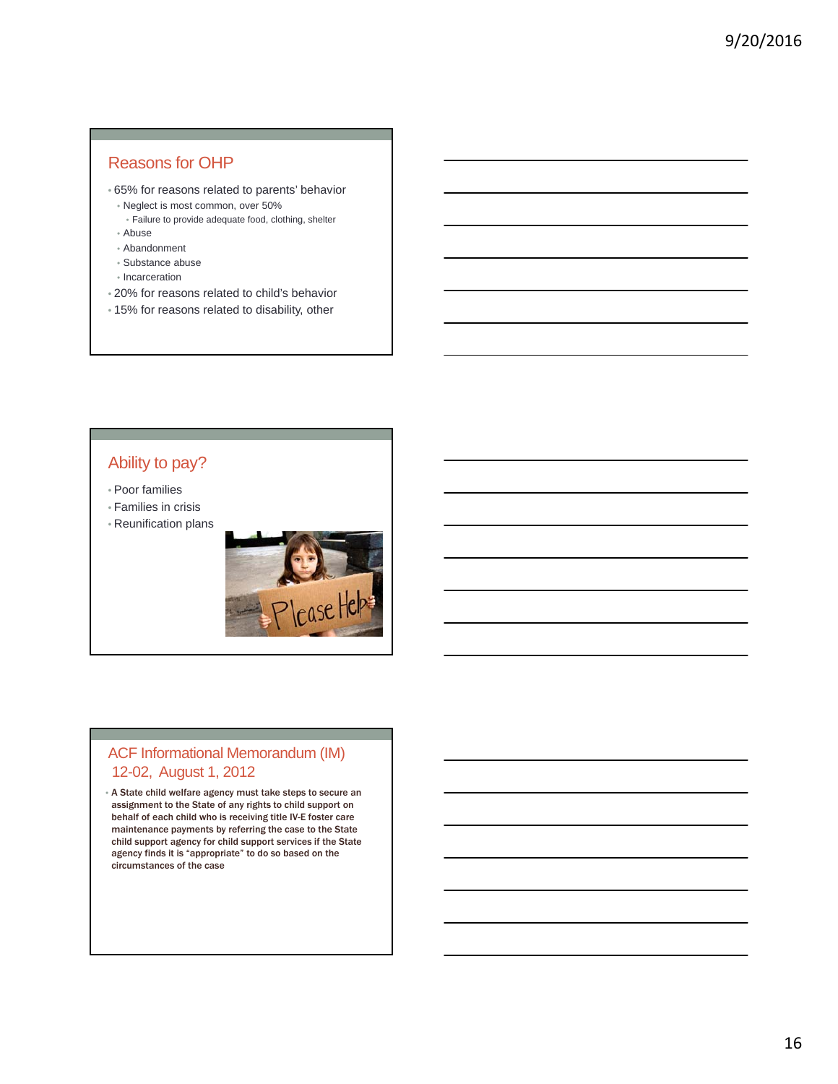### Reasons for OHP

- 65% for reasons related to parents' behavior
	- Neglect is most common, over 50%
	- Failure to provide adequate food, clothing, shelter • Abuse
- Abandonment
- Substance abuse
- Incarceration
- 20% for reasons related to child's behavior
- 15% for reasons related to disability, other

### Ability to pay?

- Poor families
- Families in crisis
- Reunification plans



#### ACF Informational Memorandum (IM) 12-02, August 1, 2012

• A State child welfare agency must take steps to secure an assignment to the State of any rights to child support on behalf of each child who is receiving title IV-E foster care maintenance payments by referring the case to the State child support agency for child support services if the State agency finds it is "appropriate" to do so based on the circumstances of the case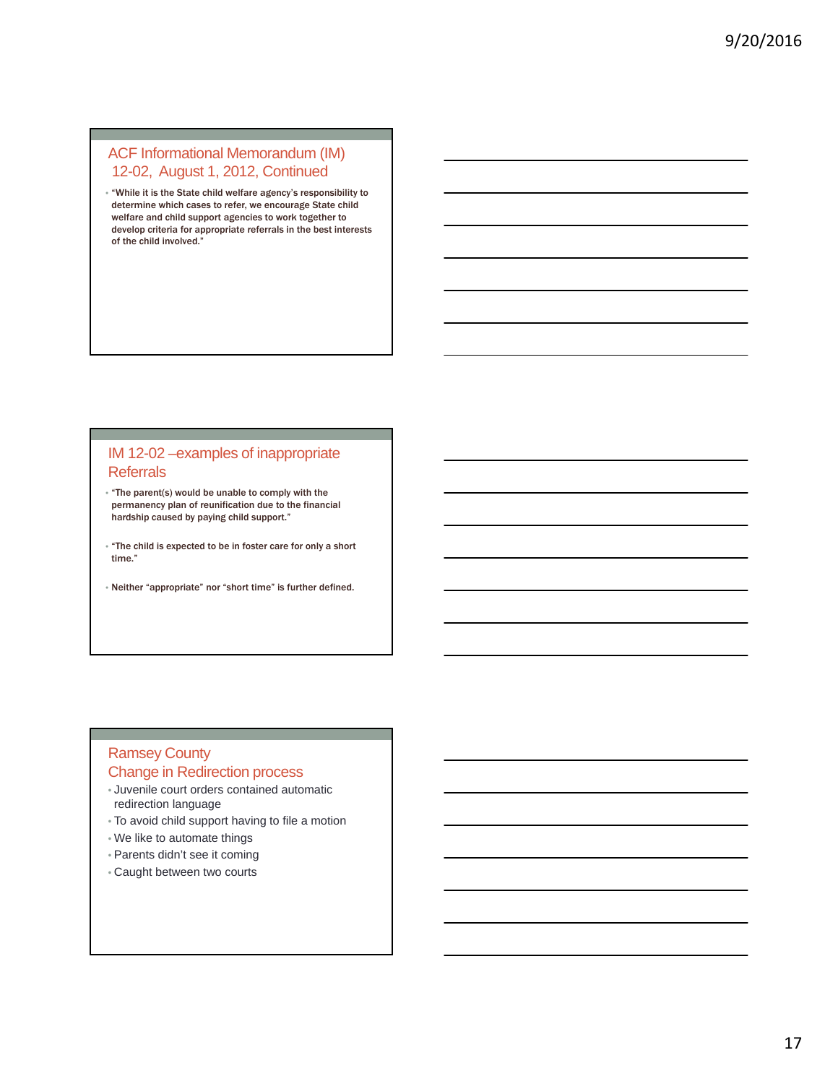#### ACF Informational Memorandum (IM) 12-02, August 1, 2012, Continued

• "While it is the State child welfare agency's responsibility to determine which cases to refer, we encourage State child welfare and child support agencies to work together to develop criteria for appropriate referrals in the best interests of the child involved."

#### IM 12-02 –examples of inappropriate **Referrals**

- "The parent(s) would be unable to comply with the permanency plan of reunification due to the financial hardship caused by paying child support."
- "The child is expected to be in foster care for only a short time."
- Neither "appropriate" nor "short time" is further defined.

#### Ramsey County Change in Redirection process

- Juvenile court orders contained automatic redirection language
- To avoid child support having to file a motion
- We like to automate things
- Parents didn't see it coming
- Caught between two courts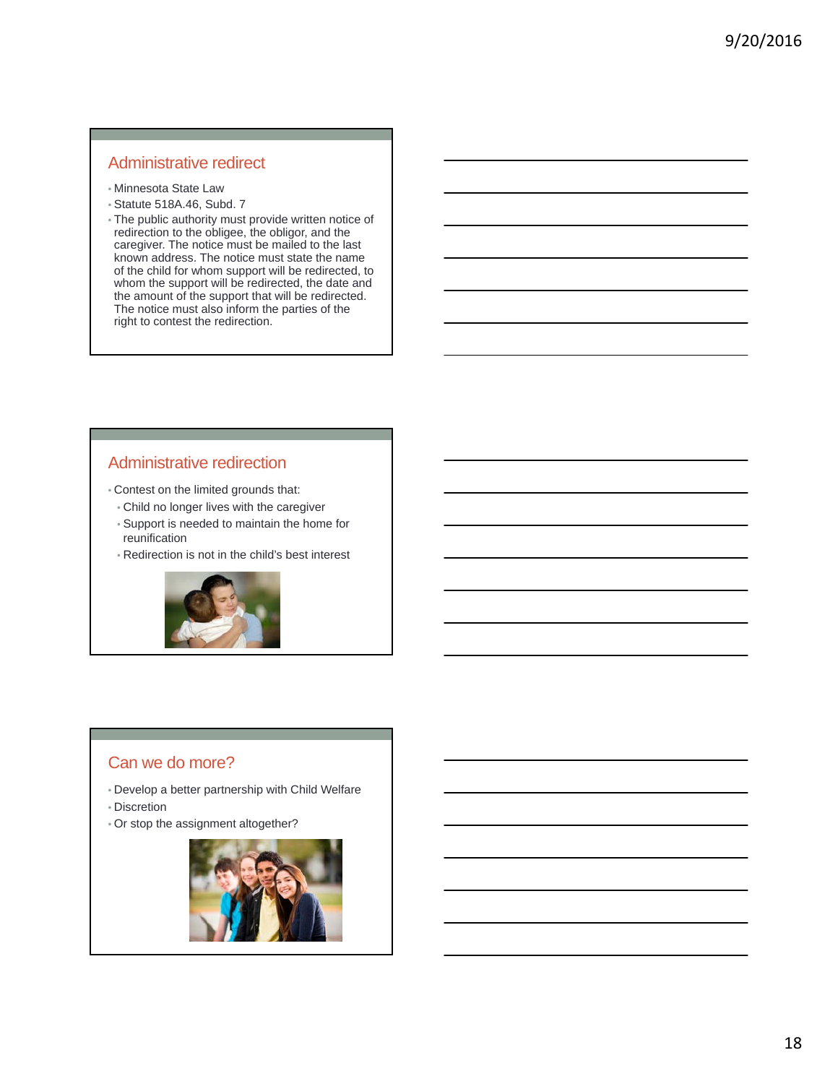### Administrative redirect

- Minnesota State Law
- Statute 518A.46, Subd. 7
- The public authority must provide written notice of redirection to the obligee, the obligor, and the caregiver. The notice must be mailed to the last known address. The notice must state the name of the child for whom support will be redirected, to whom the support will be redirected, the date and the amount of the support that will be redirected. The notice must also inform the parties of the right to contest the redirection.

### Administrative redirection

- Contest on the limited grounds that:
	- Child no longer lives with the caregiver
	- Support is needed to maintain the home for reunification
	- Redirection is not in the child's best interest



#### Can we do more?

- Develop a better partnership with Child Welfare
- Discretion
- Or stop the assignment altogether?